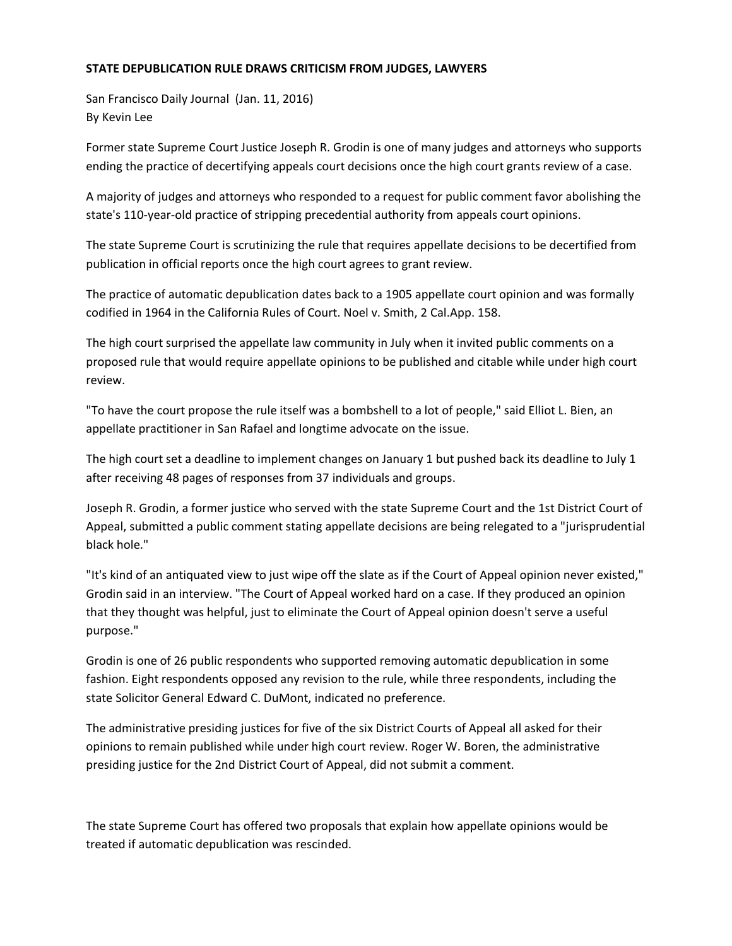## **STATE DEPUBLICATION RULE DRAWS CRITICISM FROM JUDGES, LAWYERS**

San Francisco Daily Journal (Jan. 11, 2016) By Kevin Lee

Former state Supreme Court Justice Joseph R. Grodin is one of many judges and attorneys who supports ending the practice of decertifying appeals court decisions once the high court grants review of a case.

A majority of judges and attorneys who responded to a request for public comment favor abolishing the state's 110-year-old practice of stripping precedential authority from appeals court opinions.

The state Supreme Court is scrutinizing the rule that requires appellate decisions to be decertified from publication in official reports once the high court agrees to grant review.

The practice of automatic depublication dates back to a 1905 appellate court opinion and was formally codified in 1964 in the California Rules of Court. Noel v. Smith, 2 Cal.App. 158.

The high court surprised the appellate law community in July when it invited public comments on a proposed rule that would require appellate opinions to be published and citable while under high court review.

"To have the court propose the rule itself was a bombshell to a lot of people," said Elliot L. Bien, an appellate practitioner in San Rafael and longtime advocate on the issue.

The high court set a deadline to implement changes on January 1 but pushed back its deadline to July 1 after receiving 48 pages of responses from 37 individuals and groups.

Joseph R. Grodin, a former justice who served with the state Supreme Court and the 1st District Court of Appeal, submitted a public comment stating appellate decisions are being relegated to a "jurisprudential black hole."

"It's kind of an antiquated view to just wipe off the slate as if the Court of Appeal opinion never existed," Grodin said in an interview. "The Court of Appeal worked hard on a case. If they produced an opinion that they thought was helpful, just to eliminate the Court of Appeal opinion doesn't serve a useful purpose."

Grodin is one of 26 public respondents who supported removing automatic depublication in some fashion. Eight respondents opposed any revision to the rule, while three respondents, including the state Solicitor General Edward C. DuMont, indicated no preference.

The administrative presiding justices for five of the six District Courts of Appeal all asked for their opinions to remain published while under high court review. Roger W. Boren, the administrative presiding justice for the 2nd District Court of Appeal, did not submit a comment.

The state Supreme Court has offered two proposals that explain how appellate opinions would be treated if automatic depublication was rescinded.